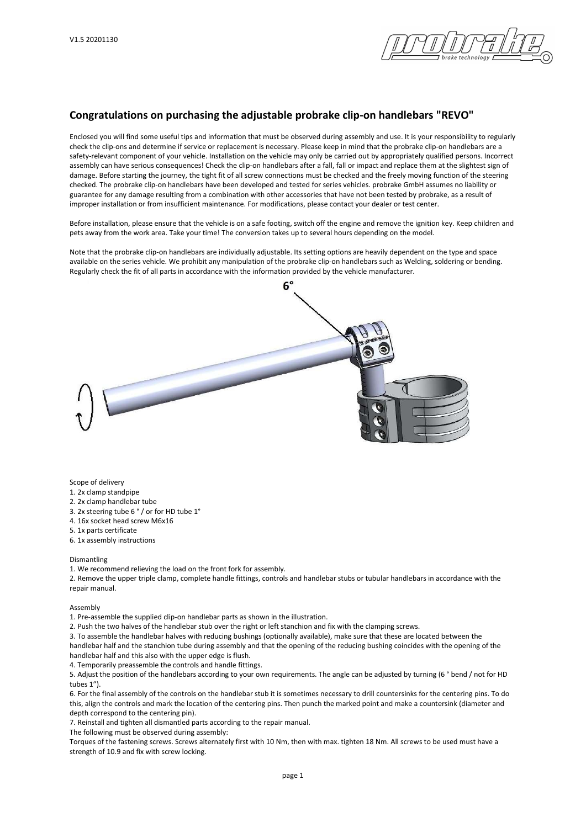

## Congratulations on purchasing the adjustable probrake clip-on handlebars "REVO"

Enclosed you will find some useful tips and information that must be observed during assembly and use. It is your responsibility to regularly check the clip-ons and determine if service or replacement is necessary. Please keep in mind that the probrake clip-on handlebars are a safety-relevant component of your vehicle. Installation on the vehicle may only be carried out by appropriately qualified persons. Incorrect assembly can have serious consequences! Check the clip-on handlebars after a fall, fall or impact and replace them at the slightest sign of damage. Before starting the journey, the tight fit of all screw connections must be checked and the freely moving function of the steering checked. The probrake clip-on handlebars have been developed and tested for series vehicles. probrake GmbH assumes no liability or guarantee for any damage resulting from a combination with other accessories that have not been tested by probrake, as a result of improper installation or from insufficient maintenance. For modifications, please contact your dealer or test center.

Before installation, please ensure that the vehicle is on a safe footing, switch off the engine and remove the ignition key. Keep children and pets away from the work area. Take your time! The conversion takes up to several hours depending on the model.

Note that the probrake clip-on handlebars are individually adjustable. Its setting options are heavily dependent on the type and space available on the series vehicle. We prohibit any manipulation of the probrake clip-on handlebars such as Welding, soldering or bending. Regularly check the fit of all parts in accordance with the information provided by the vehicle manufacturer.

 $6^{\circ}$ 

Scope of delivery

1. 2x clamp standpipe

2. 2x clamp handlebar tube

3. 2x steering tube 6 ° / or for HD tube 1°

4. 16x socket head screw M6x16

5. 1x parts certificate

6. 1x assembly instructions

## Dismantling

1. We recommend relieving the load on the front fork for assembly.

2. Remove the upper triple clamp, complete handle fittings, controls and handlebar stubs or tubular handlebars in accordance with the repair manual.

## Assembly

1. Pre-assemble the supplied clip-on handlebar parts as shown in the illustration.

2. Push the two halves of the handlebar stub over the right or left stanchion and fix with the clamping screws.

3. To assemble the handlebar halves with reducing bushings (optionally available), make sure that these are located between the handlebar half and the stanchion tube during assembly and that the opening of the reducing bushing coincides with the opening of the handlebar half and this also with the upper edge is flush.

4. Temporarily preassemble the controls and handle fittings.

5. Adjust the position of the handlebars according to your own requirements. The angle can be adjusted by turning (6 ° bend / not for HD tubes 1").

6. For the final assembly of the controls on the handlebar stub it is sometimes necessary to drill countersinks for the centering pins. To do this, align the controls and mark the location of the centering pins. Then punch the marked point and make a countersink (diameter and depth correspond to the centering pin).

7. Reinstall and tighten all dismantled parts according to the repair manual.

The following must be observed during assembly:

Torques of the fastening screws. Screws alternately first with 10 Nm, then with max. tighten 18 Nm. All screws to be used must have a strength of 10.9 and fix with screw locking.